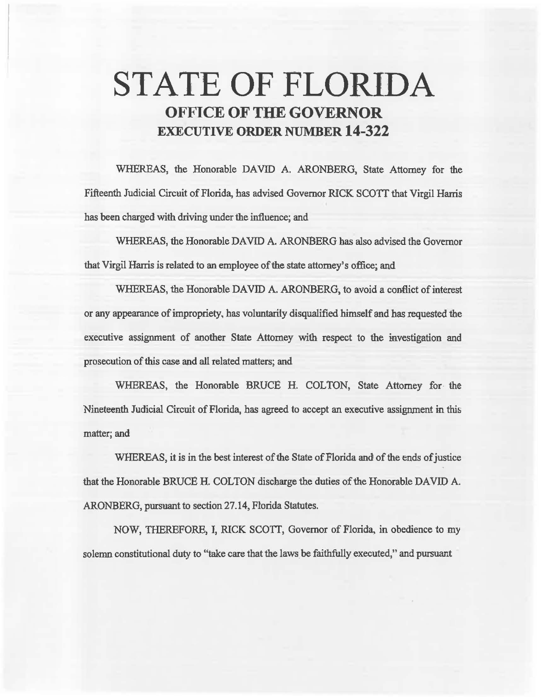# **STATE OF FLORIDA OFFICE OF THE GOVERNOR EXECUTIVE ORDER NUMBER 14-322**

WHEREAS, the Honorable DAVID A. ARONBERG, State Attorney for the Fifteenth Judicial Circuit of Florida, has advised Governor RICK SCOTT that Virgil Harris has been charged with driving under the influence; and

WHEREAS, the Honorable DAVID A. ARONBERG has also advised the Governor that Virgil Harris is related to an employee of the state attomey' s office; and

WHEREAS, the Honorable DAVID A. ARONBERG, to avoid a conflict of interest or any appearance of impropriety, has voluntarily disqualified himself and has requested the executive assignment of another State Attorney with respect to the investigation and prosecution of this case and all related matters; and

WHEREAS, the Honorable BRUCE H. COLTON, State Attorney for the Nineteenth Judicial Circuit of Florida, has agreed to accept an executive assignment in this matter; and

WHEREAS, it is in the best interest of the State of Florida and of the ends of justice that the Honorable BRUCE H. COLTON discharge the duties of the Honorable DAVID A. ARONBERG, pursuant to section 27.14, Florida Statutes.

NOW, THEREFORE, l, RICK SCOTI, Governor of Florida, in obedience to my solemn constitutional duty to "take care that the laws be faithfully executed," and pursuant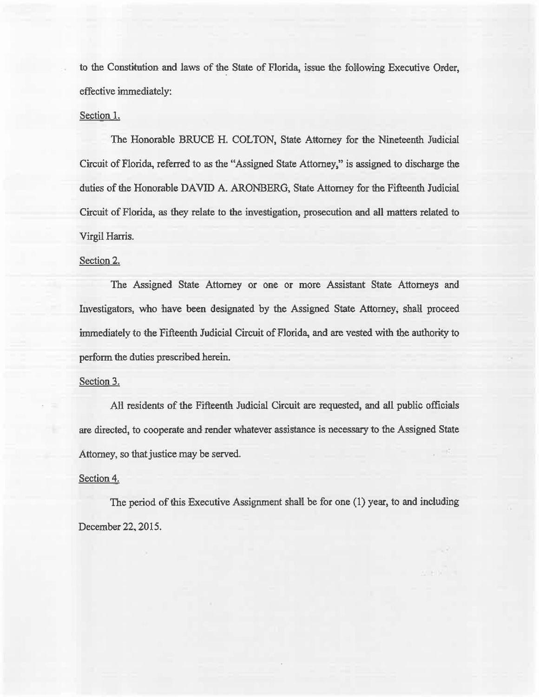to the Constitution and laws of the State of Florida, issue the following Executive Order, effective immediately:

### Section 1.

The Honorable BRUCE H. COLTON, State Attorney for the Nineteenth Judicial Circuit of Florida, referred to *as* the "Assigned State Attorney," is assigned to discharge the duties of the Honorable DAVID A. ARONBERG, State Attorney for the Fifteenth Judicial Circuit of Florida, *as* they relate to the investigation, prosecution and all matters related to Virgil Harris.

#### Section 2.

The Assigned State Attorney or one or more Assistant State Attorneys and Investigators, who have been designated by the Assigned State Attorney; shall proceed immediately to the Fifteenth Judicial Circuit of Florida, and are vested with 1he authority to perform the duties prescribed herein.

#### Section 3.

All residents of the Fifteenth Judicial Circuit are requested, and all public officials are directed, to cooperate and render whatever assistance is necessary to the Assigned State Attorney, so that justice may be served.

## Section 4.

The period of this Executive Assignment shall. be for one (1) year, to and including December 22, 2015.